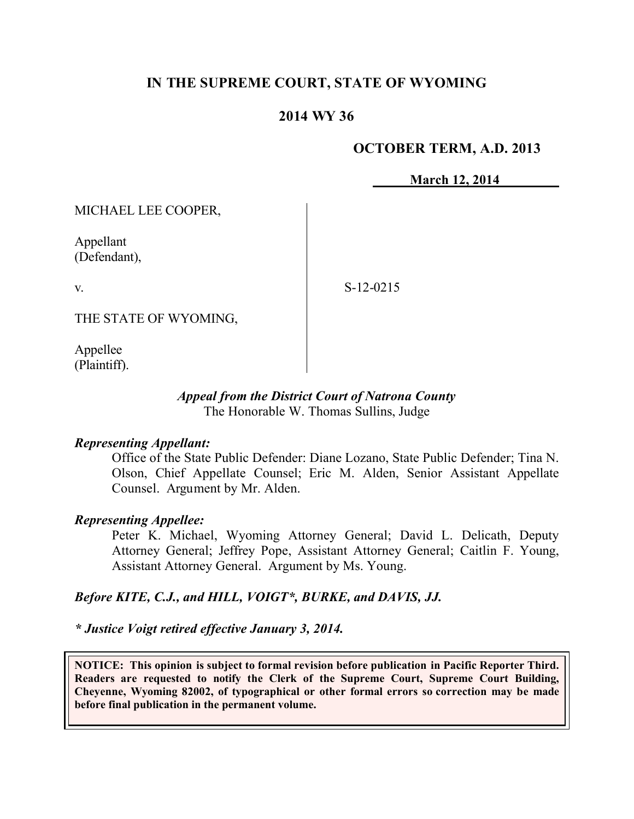## **IN THE SUPREME COURT, STATE OF WYOMING**

### **2014 WY 36**

### **OCTOBER TERM, A.D. 2013**

**March 12, 2014**

MICHAEL LEE COOPER,

Appellant (Defendant),

v.

S-12-0215

THE STATE OF WYOMING,

Appellee (Plaintiff).

#### *Appeal from the District Court of Natrona County* The Honorable W. Thomas Sullins, Judge

#### *Representing Appellant:*

Office of the State Public Defender: Diane Lozano, State Public Defender; Tina N. Olson, Chief Appellate Counsel; Eric M. Alden, Senior Assistant Appellate Counsel. Argument by Mr. Alden.

#### *Representing Appellee:*

Peter K. Michael, Wyoming Attorney General; David L. Delicath, Deputy Attorney General; Jeffrey Pope, Assistant Attorney General; Caitlin F. Young, Assistant Attorney General. Argument by Ms. Young.

#### *Before KITE, C.J., and HILL, VOIGT\*, BURKE, and DAVIS, JJ.*

#### *\* Justice Voigt retired effective January 3, 2014.*

**NOTICE: This opinion is subject to formal revision before publication in Pacific Reporter Third. Readers are requested to notify the Clerk of the Supreme Court, Supreme Court Building, Cheyenne, Wyoming 82002, of typographical or other formal errors so correction may be made before final publication in the permanent volume.**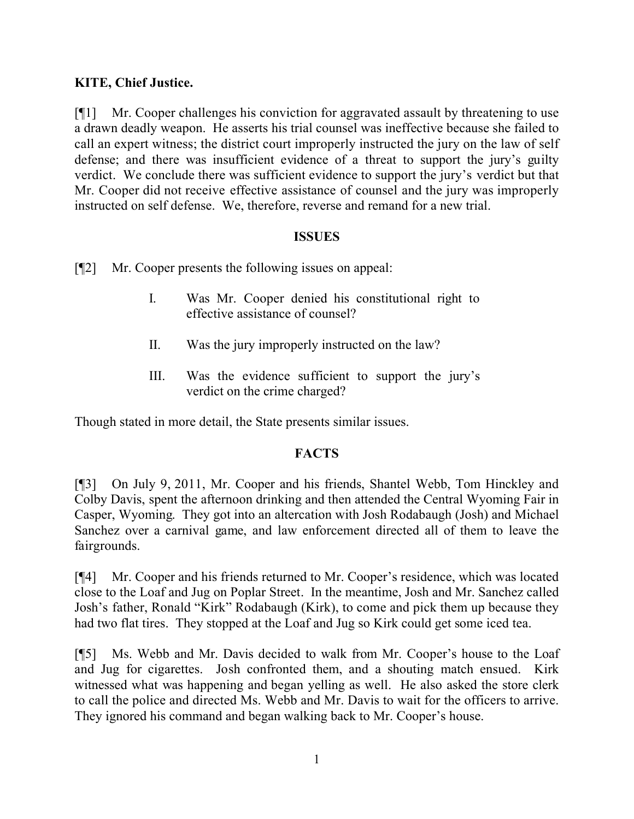## **KITE, Chief Justice.**

[¶1] Mr. Cooper challenges his conviction for aggravated assault by threatening to use a drawn deadly weapon. He asserts his trial counsel was ineffective because she failed to call an expert witness; the district court improperly instructed the jury on the law of self defense; and there was insufficient evidence of a threat to support the jury's guilty verdict. We conclude there was sufficient evidence to support the jury's verdict but that Mr. Cooper did not receive effective assistance of counsel and the jury was improperly instructed on self defense. We, therefore, reverse and remand for a new trial.

### **ISSUES**

[¶2] Mr. Cooper presents the following issues on appeal:

- I. Was Mr. Cooper denied his constitutional right to effective assistance of counsel?
- II. Was the jury improperly instructed on the law?
- III. Was the evidence sufficient to support the jury's verdict on the crime charged?

Though stated in more detail, the State presents similar issues.

### **FACTS**

[¶3] On July 9, 2011, Mr. Cooper and his friends, Shantel Webb, Tom Hinckley and Colby Davis, spent the afternoon drinking and then attended the Central Wyoming Fair in Casper, Wyoming. They got into an altercation with Josh Rodabaugh (Josh) and Michael Sanchez over a carnival game, and law enforcement directed all of them to leave the fairgrounds.

[¶4] Mr. Cooper and his friends returned to Mr. Cooper's residence, which was located close to the Loaf and Jug on Poplar Street. In the meantime, Josh and Mr. Sanchez called Josh's father, Ronald "Kirk" Rodabaugh (Kirk), to come and pick them up because they had two flat tires. They stopped at the Loaf and Jug so Kirk could get some iced tea.

[¶5] Ms. Webb and Mr. Davis decided to walk from Mr. Cooper's house to the Loaf and Jug for cigarettes. Josh confronted them, and a shouting match ensued. Kirk witnessed what was happening and began yelling as well. He also asked the store clerk to call the police and directed Ms. Webb and Mr. Davis to wait for the officers to arrive. They ignored his command and began walking back to Mr. Cooper's house.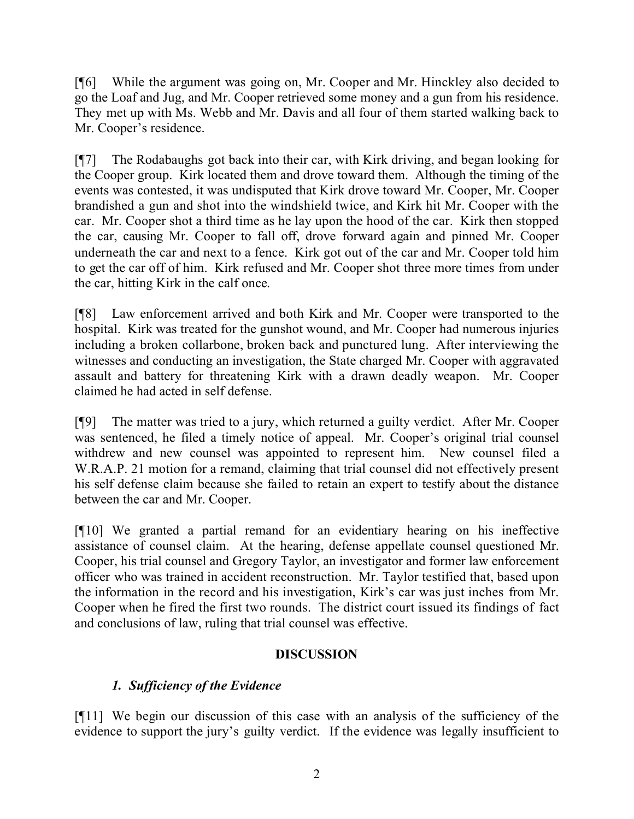[¶6] While the argument was going on, Mr. Cooper and Mr. Hinckley also decided to go the Loaf and Jug, and Mr. Cooper retrieved some money and a gun from his residence. They met up with Ms. Webb and Mr. Davis and all four of them started walking back to Mr. Cooper's residence.

[¶7] The Rodabaughs got back into their car, with Kirk driving, and began looking for the Cooper group. Kirk located them and drove toward them. Although the timing of the events was contested, it was undisputed that Kirk drove toward Mr. Cooper, Mr. Cooper brandished a gun and shot into the windshield twice, and Kirk hit Mr. Cooper with the car. Mr. Cooper shot a third time as he lay upon the hood of the car. Kirk then stopped the car, causing Mr. Cooper to fall off, drove forward again and pinned Mr. Cooper underneath the car and next to a fence. Kirk got out of the car and Mr. Cooper told him to get the car off of him. Kirk refused and Mr. Cooper shot three more times from under the car, hitting Kirk in the calf once.

[¶8] Law enforcement arrived and both Kirk and Mr. Cooper were transported to the hospital. Kirk was treated for the gunshot wound, and Mr. Cooper had numerous injuries including a broken collarbone, broken back and punctured lung. After interviewing the witnesses and conducting an investigation, the State charged Mr. Cooper with aggravated assault and battery for threatening Kirk with a drawn deadly weapon. Mr. Cooper claimed he had acted in self defense.

[¶9] The matter was tried to a jury, which returned a guilty verdict. After Mr. Cooper was sentenced, he filed a timely notice of appeal. Mr. Cooper's original trial counsel withdrew and new counsel was appointed to represent him. New counsel filed a W.R.A.P. 21 motion for a remand, claiming that trial counsel did not effectively present his self defense claim because she failed to retain an expert to testify about the distance between the car and Mr. Cooper.

[¶10] We granted a partial remand for an evidentiary hearing on his ineffective assistance of counsel claim. At the hearing, defense appellate counsel questioned Mr. Cooper, his trial counsel and Gregory Taylor, an investigator and former law enforcement officer who was trained in accident reconstruction. Mr. Taylor testified that, based upon the information in the record and his investigation, Kirk's car was just inches from Mr. Cooper when he fired the first two rounds. The district court issued its findings of fact and conclusions of law, ruling that trial counsel was effective.

# **DISCUSSION**

# *1. Sufficiency of the Evidence*

[¶11] We begin our discussion of this case with an analysis of the sufficiency of the evidence to support the jury's guilty verdict. If the evidence was legally insufficient to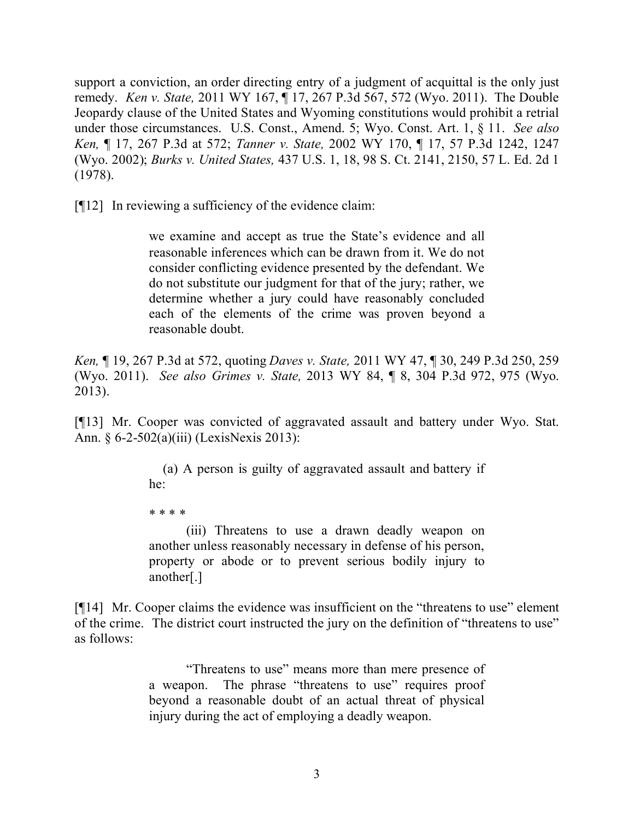support a conviction, an order directing entry of a judgment of acquittal is the only just remedy. *Ken v. State,* 2011 WY 167, ¶ 17, 267 P.3d 567, 572 (Wyo. 2011). The Double Jeopardy clause of the United States and Wyoming constitutions would prohibit a retrial under those circumstances. U.S. Const., Amend. 5; Wyo. Const. Art. 1, § 11. *See also Ken,* ¶ 17, 267 P.3d at 572; *Tanner v. State,* 2002 WY 170, ¶ 17, 57 P.3d 1242, 1247 (Wyo. 2002); *Burks v. United States,* 437 U.S. 1, 18, 98 S. Ct. 2141, 2150, 57 L. Ed. 2d 1 (1978).

[¶12] In reviewing a sufficiency of the evidence claim:

we examine and accept as true the State's evidence and all reasonable inferences which can be drawn from it. We do not consider conflicting evidence presented by the defendant. We do not substitute our judgment for that of the jury; rather, we determine whether a jury could have reasonably concluded each of the elements of the crime was proven beyond a reasonable doubt.

*Ken,* ¶ 19, 267 P.3d at 572, quoting *Daves v. State,* 2011 WY 47, ¶ 30, 249 P.3d 250, 259 (Wyo. 2011). *See also Grimes v. State,* 2013 WY 84, ¶ 8, 304 P.3d 972, 975 (Wyo. 2013).

[¶13] Mr. Cooper was convicted of aggravated assault and battery under Wyo. Stat. Ann. § 6-2-502(a)(iii) (LexisNexis 2013):

> (a) A person is guilty of aggravated assault and battery if he:

\* \* \* \*

(iii) Threatens to use a drawn deadly weapon on another unless reasonably necessary in defense of his person, property or abode or to prevent serious bodily injury to another[.]

[¶14] Mr. Cooper claims the evidence was insufficient on the "threatens to use" element of the crime. The district court instructed the jury on the definition of "threatens to use" as follows:

> "Threatens to use" means more than mere presence of a weapon. The phrase "threatens to use" requires proof beyond a reasonable doubt of an actual threat of physical injury during the act of employing a deadly weapon.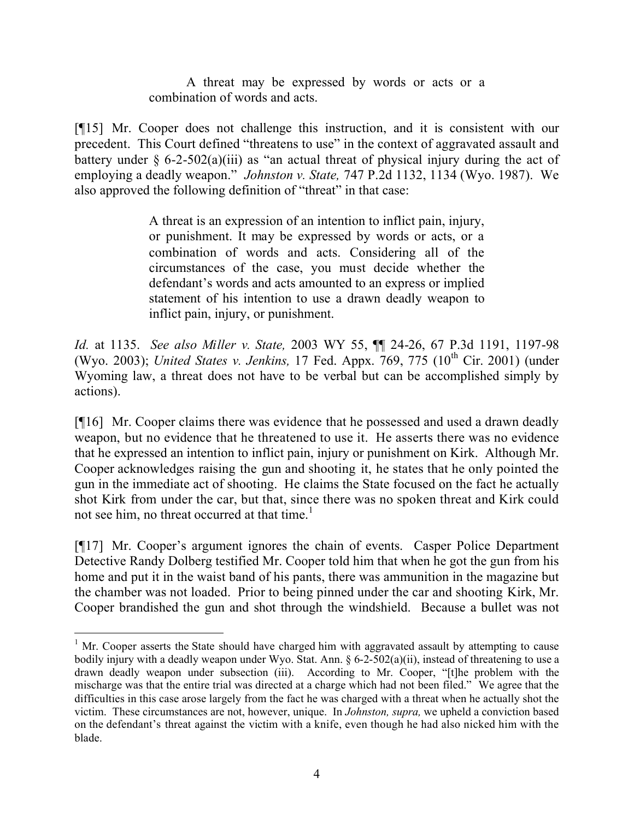A threat may be expressed by words or acts or a combination of words and acts.

[¶15] Mr. Cooper does not challenge this instruction, and it is consistent with our precedent. This Court defined "threatens to use" in the context of aggravated assault and battery under  $\S$  6-2-502(a)(iii) as "an actual threat of physical injury during the act of employing a deadly weapon." *Johnston v. State,* 747 P.2d 1132, 1134 (Wyo. 1987). We also approved the following definition of "threat" in that case:

> A threat is an expression of an intention to inflict pain, injury, or punishment. It may be expressed by words or acts, or a combination of words and acts. Considering all of the circumstances of the case, you must decide whether the defendant's words and acts amounted to an express or implied statement of his intention to use a drawn deadly weapon to inflict pain, injury, or punishment.

*Id.* at 1135. *See also Miller v. State,* 2003 WY 55, ¶¶ 24-26, 67 P.3d 1191, 1197-98 (Wyo. 2003); *United States v. Jenkins*, 17 Fed. Appx. 769, 775 (10<sup>th</sup> Cir. 2001) (under Wyoming law, a threat does not have to be verbal but can be accomplished simply by actions).

[¶16] Mr. Cooper claims there was evidence that he possessed and used a drawn deadly weapon, but no evidence that he threatened to use it. He asserts there was no evidence that he expressed an intention to inflict pain, injury or punishment on Kirk. Although Mr. Cooper acknowledges raising the gun and shooting it, he states that he only pointed the gun in the immediate act of shooting. He claims the State focused on the fact he actually shot Kirk from under the car, but that, since there was no spoken threat and Kirk could not see him, no threat occurred at that time.<sup>1</sup>

[¶17] Mr. Cooper's argument ignores the chain of events. Casper Police Department Detective Randy Dolberg testified Mr. Cooper told him that when he got the gun from his home and put it in the waist band of his pants, there was ammunition in the magazine but the chamber was not loaded. Prior to being pinned under the car and shooting Kirk, Mr. Cooper brandished the gun and shot through the windshield. Because a bullet was not

 $1$  Mr. Cooper asserts the State should have charged him with aggravated assault by attempting to cause bodily injury with a deadly weapon under Wyo. Stat. Ann. § 6-2-502(a)(ii), instead of threatening to use a drawn deadly weapon under subsection (iii). According to Mr. Cooper, "[t]he problem with the mischarge was that the entire trial was directed at a charge which had not been filed." We agree that the difficulties in this case arose largely from the fact he was charged with a threat when he actually shot the victim. These circumstances are not, however, unique. In *Johnston, supra,* we upheld a conviction based on the defendant's threat against the victim with a knife, even though he had also nicked him with the blade.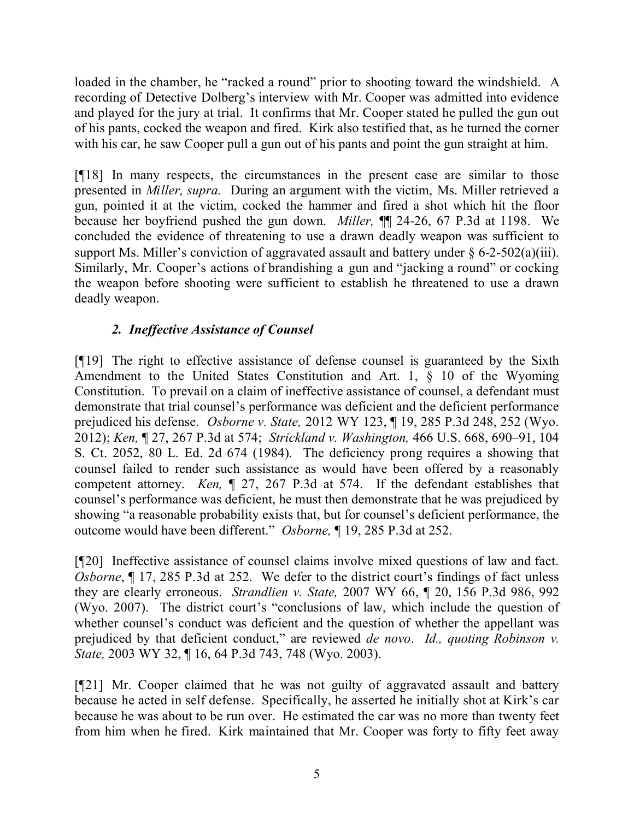loaded in the chamber, he "racked a round" prior to shooting toward the windshield. A recording of Detective Dolberg's interview with Mr. Cooper was admitted into evidence and played for the jury at trial. It confirms that Mr. Cooper stated he pulled the gun out of his pants, cocked the weapon and fired. Kirk also testified that, as he turned the corner with his car, he saw Cooper pull a gun out of his pants and point the gun straight at him.

[¶18] In many respects, the circumstances in the present case are similar to those presented in *Miller, supra.* During an argument with the victim, Ms. Miller retrieved a gun, pointed it at the victim, cocked the hammer and fired a shot which hit the floor because her boyfriend pushed the gun down. *Miller,* ¶¶ 24-26, 67 P.3d at 1198.We concluded the evidence of threatening to use a drawn deadly weapon was sufficient to support Ms. Miller's conviction of aggravated assault and battery under  $\S 6$ -2-502(a)(iii). Similarly, Mr. Cooper's actions of brandishing a gun and "jacking a round" or cocking the weapon before shooting were sufficient to establish he threatened to use a drawn deadly weapon.

# *2. Ineffective Assistance of Counsel*

[¶19] The right to effective assistance of defense counsel is guaranteed by the Sixth Amendment to the United States Constitution and Art. 1, § 10 of the Wyoming Constitution. To prevail on a claim of ineffective assistance of counsel, a defendant must demonstrate that trial counsel's performance was deficient and the deficient performance prejudiced his defense. *Osborne v. State,* 2012 WY 123, ¶ 19, 285 P.3d 248, 252 (Wyo. 2012); *Ken,* ¶ 27, 267 P.3d at 574; *Strickland v. Washington,* 466 U.S. 668, 690–91, 104 S. Ct. 2052, 80 L. Ed. 2d 674 (1984). The deficiency prong requires a showing that counsel failed to render such assistance as would have been offered by a reasonably competent attorney. *Ken,* ¶ 27, 267 P.3d at 574. If the defendant establishes that counsel's performance was deficient, he must then demonstrate that he was prejudiced by showing "a reasonable probability exists that, but for counsel's deficient performance, the outcome would have been different." *Osborne,* ¶ 19, 285 P.3d at 252.

[¶20] Ineffective assistance of counsel claims involve mixed questions of law and fact. *Osborne*,  $\P$  17, 285 P.3d at 252. We defer to the district court's findings of fact unless they are clearly erroneous. *Strandlien v. State,* 2007 WY 66, ¶ 20, 156 P.3d 986, 992 (Wyo. 2007). The district court's "conclusions of law, which include the question of whether counsel's conduct was deficient and the question of whether the appellant was prejudiced by that deficient conduct," are reviewed *de novo*. *Id., quoting Robinson v. State,* 2003 WY 32, ¶ 16, 64 P.3d 743, 748 (Wyo. 2003).

[¶21] Mr. Cooper claimed that he was not guilty of aggravated assault and battery because he acted in self defense. Specifically, he asserted he initially shot at Kirk's car because he was about to be run over. He estimated the car was no more than twenty feet from him when he fired. Kirk maintained that Mr. Cooper was forty to fifty feet away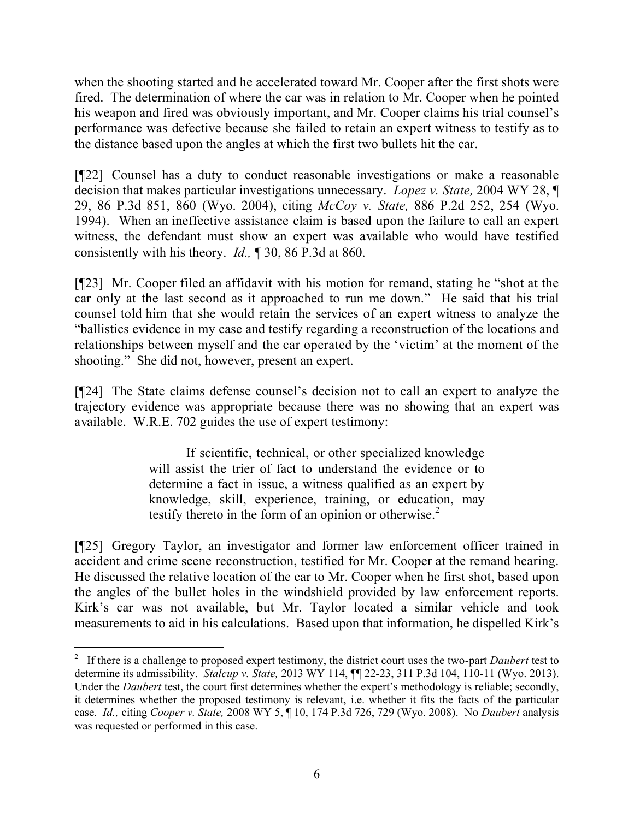when the shooting started and he accelerated toward Mr. Cooper after the first shots were fired. The determination of where the car was in relation to Mr. Cooper when he pointed his weapon and fired was obviously important, and Mr. Cooper claims his trial counsel's performance was defective because she failed to retain an expert witness to testify as to the distance based upon the angles at which the first two bullets hit the car.

[¶22] Counsel has a duty to conduct reasonable investigations or make a reasonable decision that makes particular investigations unnecessary. *Lopez v. State,* 2004 WY 28, ¶ 29, 86 P.3d 851, 860 (Wyo. 2004), citing *McCoy v. State,* 886 P.2d 252, 254 (Wyo. 1994). When an ineffective assistance claim is based upon the failure to call an expert witness, the defendant must show an expert was available who would have testified consistently with his theory. *Id.,* ¶ 30, 86 P.3d at 860.

[¶23] Mr. Cooper filed an affidavit with his motion for remand, stating he "shot at the car only at the last second as it approached to run me down." He said that his trial counsel told him that she would retain the services of an expert witness to analyze the "ballistics evidence in my case and testify regarding a reconstruction of the locations and relationships between myself and the car operated by the 'victim' at the moment of the shooting." She did not, however, present an expert.

[¶24] The State claims defense counsel's decision not to call an expert to analyze the trajectory evidence was appropriate because there was no showing that an expert was available. W.R.E. 702 guides the use of expert testimony:

> If scientific, technical, or other specialized knowledge will assist the trier of fact to understand the evidence or to determine a fact in issue, a witness qualified as an expert by knowledge, skill, experience, training, or education, may testify thereto in the form of an opinion or otherwise.<sup>2</sup>

[¶25] Gregory Taylor, an investigator and former law enforcement officer trained in accident and crime scene reconstruction, testified for Mr. Cooper at the remand hearing. He discussed the relative location of the car to Mr. Cooper when he first shot, based upon the angles of the bullet holes in the windshield provided by law enforcement reports. Kirk's car was not available, but Mr. Taylor located a similar vehicle and took measurements to aid in his calculations. Based upon that information, he dispelled Kirk's

<sup>2</sup> If there is a challenge to proposed expert testimony, the district court uses the two-part *Daubert* test to determine its admissibility. *Stalcup v. State,* 2013 WY 114, ¶¶ 22-23, 311 P.3d 104, 110-11 (Wyo. 2013). Under the *Daubert* test, the court first determines whether the expert's methodology is reliable; secondly, it determines whether the proposed testimony is relevant, i.e. whether it fits the facts of the particular case. *Id.,* citing *Cooper v. State,* 2008 WY 5, ¶ 10, 174 P.3d 726, 729 (Wyo. 2008). No *Daubert* analysis was requested or performed in this case.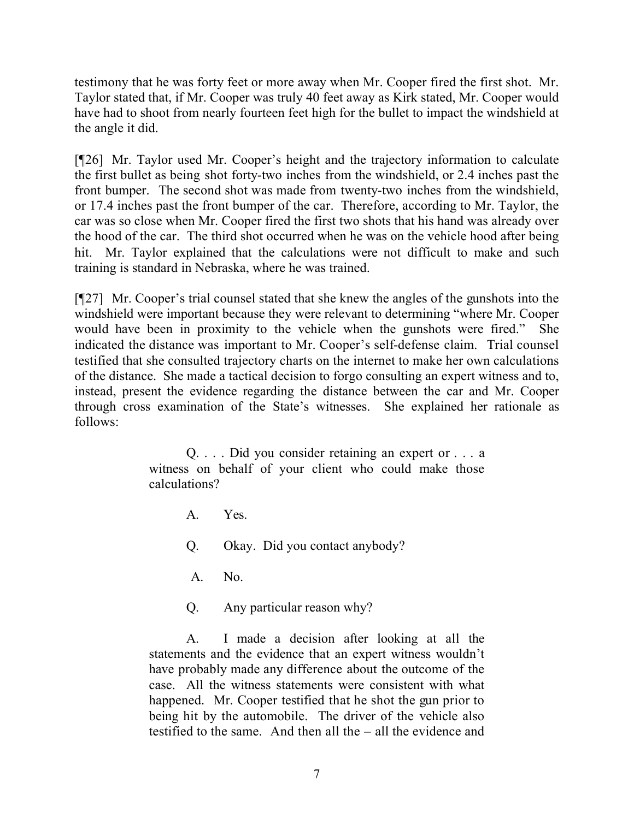testimony that he was forty feet or more away when Mr. Cooper fired the first shot. Mr. Taylor stated that, if Mr. Cooper was truly 40 feet away as Kirk stated, Mr. Cooper would have had to shoot from nearly fourteen feet high for the bullet to impact the windshield at the angle it did.

[¶26] Mr. Taylor used Mr. Cooper's height and the trajectory information to calculate the first bullet as being shot forty-two inches from the windshield, or 2.4 inches past the front bumper. The second shot was made from twenty-two inches from the windshield, or 17.4 inches past the front bumper of the car. Therefore, according to Mr. Taylor, the car was so close when Mr. Cooper fired the first two shots that his hand was already over the hood of the car. The third shot occurred when he was on the vehicle hood after being hit. Mr. Taylor explained that the calculations were not difficult to make and such training is standard in Nebraska, where he was trained.

[¶27] Mr. Cooper's trial counsel stated that she knew the angles of the gunshots into the windshield were important because they were relevant to determining "where Mr. Cooper would have been in proximity to the vehicle when the gunshots were fired." She indicated the distance was important to Mr. Cooper's self-defense claim. Trial counsel testified that she consulted trajectory charts on the internet to make her own calculations of the distance. She made a tactical decision to forgo consulting an expert witness and to, instead, present the evidence regarding the distance between the car and Mr. Cooper through cross examination of the State's witnesses. She explained her rationale as follows:

> Q. . . . Did you consider retaining an expert or . . . a witness on behalf of your client who could make those calculations?

> > A. Yes. Q. Okay. Did you contact anybody?

A. No.

Q. Any particular reason why?

A. I made a decision after looking at all the statements and the evidence that an expert witness wouldn't have probably made any difference about the outcome of the case. All the witness statements were consistent with what happened. Mr. Cooper testified that he shot the gun prior to being hit by the automobile. The driver of the vehicle also testified to the same. And then all the – all the evidence and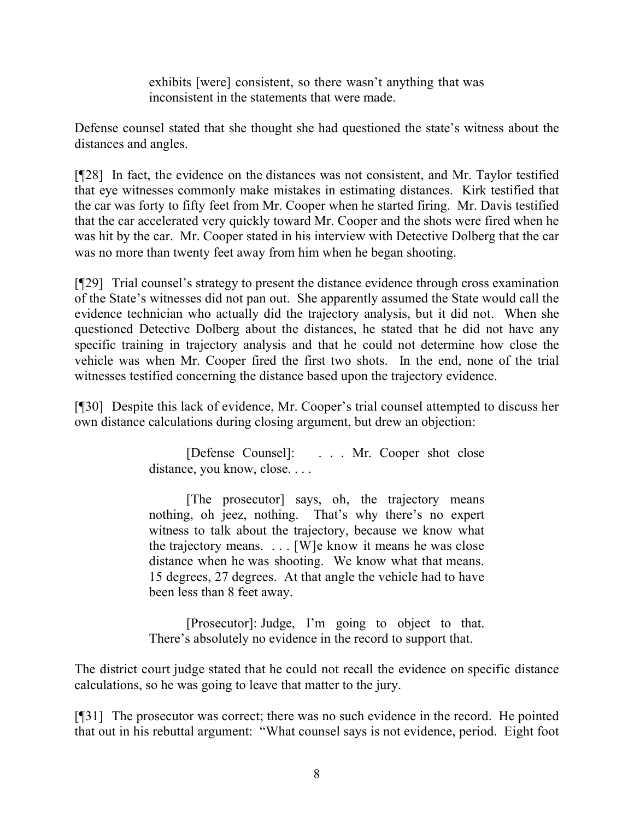exhibits [were] consistent, so there wasn't anything that was inconsistent in the statements that were made.

Defense counsel stated that she thought she had questioned the state's witness about the distances and angles.

[¶28] In fact, the evidence on the distances was not consistent, and Mr. Taylor testified that eye witnesses commonly make mistakes in estimating distances. Kirk testified that the car was forty to fifty feet from Mr. Cooper when he started firing. Mr. Davis testified that the car accelerated very quickly toward Mr. Cooper and the shots were fired when he was hit by the car. Mr. Cooper stated in his interview with Detective Dolberg that the car was no more than twenty feet away from him when he began shooting.

[¶29] Trial counsel's strategy to present the distance evidence through cross examination of the State's witnesses did not pan out. She apparently assumed the State would call the evidence technician who actually did the trajectory analysis, but it did not. When she questioned Detective Dolberg about the distances, he stated that he did not have any specific training in trajectory analysis and that he could not determine how close the vehicle was when Mr. Cooper fired the first two shots. In the end, none of the trial witnesses testified concerning the distance based upon the trajectory evidence.

[¶30] Despite this lack of evidence, Mr. Cooper's trial counsel attempted to discuss her own distance calculations during closing argument, but drew an objection:

> [Defense Counsel]: . . . Mr. Cooper shot close distance, you know, close. . . .

> [The prosecutor] says, oh, the trajectory means nothing, oh jeez, nothing. That's why there's no expert witness to talk about the trajectory, because we know what the trajectory means.  $\ldots$  [W]e know it means he was close distance when he was shooting. We know what that means. 15 degrees, 27 degrees. At that angle the vehicle had to have been less than 8 feet away.

> [Prosecutor]: Judge, I'm going to object to that. There's absolutely no evidence in the record to support that.

The district court judge stated that he could not recall the evidence on specific distance calculations, so he was going to leave that matter to the jury.

[¶31] The prosecutor was correct; there was no such evidence in the record. He pointed that out in his rebuttal argument: "What counsel says is not evidence, period. Eight foot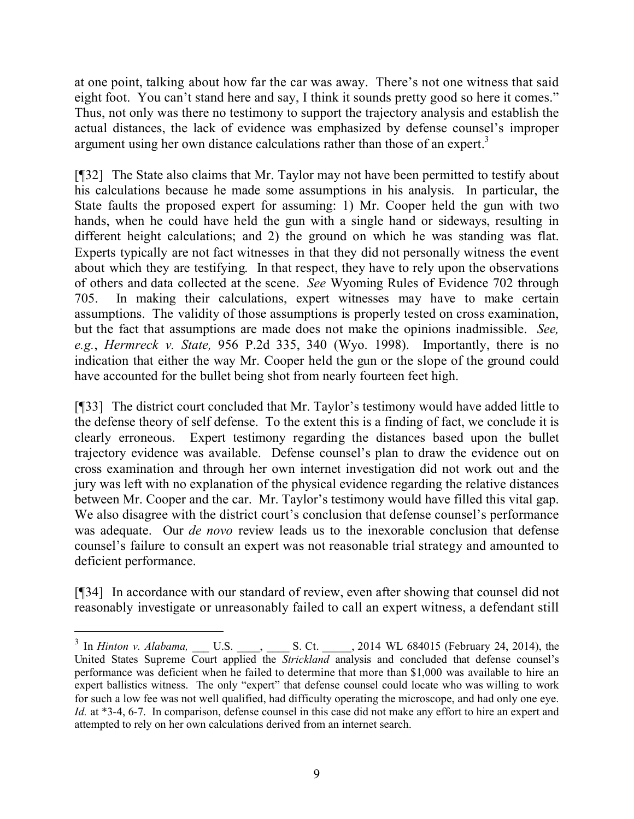at one point, talking about how far the car was away. There's not one witness that said eight foot. You can't stand here and say, I think it sounds pretty good so here it comes." Thus, not only was there no testimony to support the trajectory analysis and establish the actual distances, the lack of evidence was emphasized by defense counsel's improper argument using her own distance calculations rather than those of an expert.<sup>3</sup>

[¶32] The State also claims that Mr. Taylor may not have been permitted to testify about his calculations because he made some assumptions in his analysis. In particular, the State faults the proposed expert for assuming: 1) Mr. Cooper held the gun with two hands, when he could have held the gun with a single hand or sideways, resulting in different height calculations; and 2) the ground on which he was standing was flat. Experts typically are not fact witnesses in that they did not personally witness the event about which they are testifying. In that respect, they have to rely upon the observations of others and data collected at the scene. *See* Wyoming Rules of Evidence 702 through 705. In making their calculations, expert witnesses may have to make certain assumptions. The validity of those assumptions is properly tested on cross examination, but the fact that assumptions are made does not make the opinions inadmissible. *See, e.g.*, *Hermreck v. State,* 956 P.2d 335, 340 (Wyo. 1998). Importantly, there is no indication that either the way Mr. Cooper held the gun or the slope of the ground could have accounted for the bullet being shot from nearly fourteen feet high.

[¶33] The district court concluded that Mr. Taylor's testimony would have added little to the defense theory of self defense. To the extent this is a finding of fact, we conclude it is clearly erroneous. Expert testimony regarding the distances based upon the bullet trajectory evidence was available. Defense counsel's plan to draw the evidence out on cross examination and through her own internet investigation did not work out and the jury was left with no explanation of the physical evidence regarding the relative distances between Mr. Cooper and the car. Mr. Taylor's testimony would have filled this vital gap. We also disagree with the district court's conclusion that defense counsel's performance was adequate. Our *de novo* review leads us to the inexorable conclusion that defense counsel's failure to consult an expert was not reasonable trial strategy and amounted to deficient performance.

[¶34] In accordance with our standard of review, even after showing that counsel did not reasonably investigate or unreasonably failed to call an expert witness, a defendant still

 $3 \text{ In *Hinton v. Alabama,* U.S. , S. Ct. , 2014 WL 684015 (February 24, 2014), the$ United States Supreme Court applied the *Strickland* analysis and concluded that defense counsel's performance was deficient when he failed to determine that more than \$1,000 was available to hire an expert ballistics witness. The only "expert" that defense counsel could locate who was willing to work for such a low fee was not well qualified, had difficulty operating the microscope, and had only one eye. *Id.* at \*3-4, 6-7. In comparison, defense counsel in this case did not make any effort to hire an expert and attempted to rely on her own calculations derived from an internet search.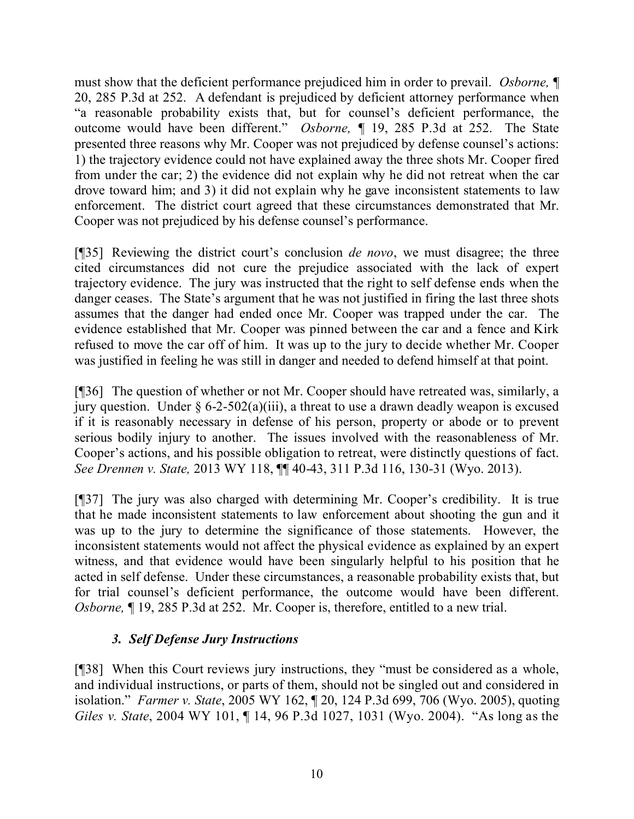must show that the deficient performance prejudiced him in order to prevail. *Osborne,* ¶ 20, 285 P.3d at 252. A defendant is prejudiced by deficient attorney performance when "a reasonable probability exists that, but for counsel's deficient performance, the outcome would have been different." *Osborne, ¶* 19, 285 P.3d at 252. The State presented three reasons why Mr. Cooper was not prejudiced by defense counsel's actions: 1) the trajectory evidence could not have explained away the three shots Mr. Cooper fired from under the car; 2) the evidence did not explain why he did not retreat when the car drove toward him; and 3) it did not explain why he gave inconsistent statements to law enforcement. The district court agreed that these circumstances demonstrated that Mr. Cooper was not prejudiced by his defense counsel's performance.

[¶35] Reviewing the district court's conclusion *de novo*, we must disagree; the three cited circumstances did not cure the prejudice associated with the lack of expert trajectory evidence. The jury was instructed that the right to self defense ends when the danger ceases. The State's argument that he was not justified in firing the last three shots assumes that the danger had ended once Mr. Cooper was trapped under the car. The evidence established that Mr. Cooper was pinned between the car and a fence and Kirk refused to move the car off of him. It was up to the jury to decide whether Mr. Cooper was justified in feeling he was still in danger and needed to defend himself at that point.

[¶36] The question of whether or not Mr. Cooper should have retreated was, similarly, a jury question. Under  $\S 6$ -2-502(a)(iii), a threat to use a drawn deadly weapon is excused if it is reasonably necessary in defense of his person, property or abode or to prevent serious bodily injury to another. The issues involved with the reasonableness of Mr. Cooper's actions, and his possible obligation to retreat, were distinctly questions of fact. *See Drennen v. State,* 2013 WY 118, ¶¶ 40-43, 311 P.3d 116, 130-31 (Wyo. 2013).

[¶37] The jury was also charged with determining Mr. Cooper's credibility. It is true that he made inconsistent statements to law enforcement about shooting the gun and it was up to the jury to determine the significance of those statements. However, the inconsistent statements would not affect the physical evidence as explained by an expert witness, and that evidence would have been singularly helpful to his position that he acted in self defense. Under these circumstances, a reasonable probability exists that, but for trial counsel's deficient performance, the outcome would have been different. *Osborne,* ¶ 19, 285 P.3d at 252. Mr. Cooper is, therefore, entitled to a new trial.

# *3. Self Defense Jury Instructions*

[¶38] When this Court reviews jury instructions, they "must be considered as a whole, and individual instructions, or parts of them, should not be singled out and considered in isolation." *Farmer v. State*, 2005 WY 162, ¶ 20, 124 P.3d 699, 706 (Wyo. 2005), quoting *Giles v. State*, 2004 WY 101, ¶ 14, 96 P.3d 1027, 1031 (Wyo. 2004). "As long as the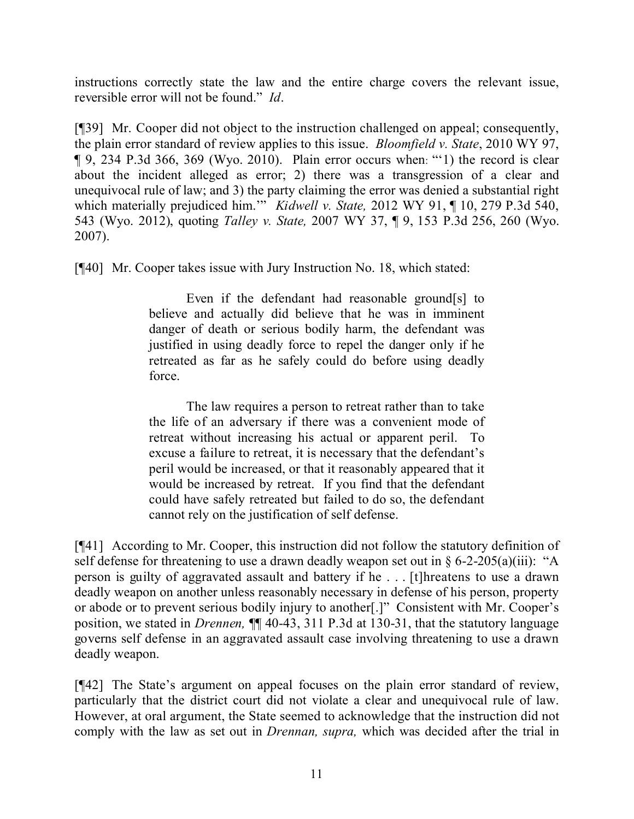instructions correctly state the law and the entire charge covers the relevant issue, reversible error will not be found." *Id*.

[¶39] Mr. Cooper did not object to the instruction challenged on appeal; consequently, the plain error standard of review applies to this issue. *Bloomfield v. State*, 2010 WY 97, ¶ 9, 234 P.3d 366, 369 (Wyo. 2010). Plain error occurs when: "'1) the record is clear about the incident alleged as error; 2) there was a transgression of a clear and unequivocal rule of law; and 3) the party claiming the error was denied a substantial right which materially prejudiced him."<sup>*Kidwell v. State,* 2012 WY 91, ¶ 10, 279 P.3d 540,</sup> 543 (Wyo. 2012), quoting *Talley v. State,* 2007 WY 37, ¶ 9, 153 P.3d 256, 260 (Wyo. 2007).

[¶40] Mr. Cooper takes issue with Jury Instruction No. 18, which stated:

Even if the defendant had reasonable ground[s] to believe and actually did believe that he was in imminent danger of death or serious bodily harm, the defendant was justified in using deadly force to repel the danger only if he retreated as far as he safely could do before using deadly force.

The law requires a person to retreat rather than to take the life of an adversary if there was a convenient mode of retreat without increasing his actual or apparent peril. To excuse a failure to retreat, it is necessary that the defendant's peril would be increased, or that it reasonably appeared that it would be increased by retreat. If you find that the defendant could have safely retreated but failed to do so, the defendant cannot rely on the justification of self defense.

[¶41] According to Mr. Cooper, this instruction did not follow the statutory definition of self defense for threatening to use a drawn deadly weapon set out in  $\S 6$ -2-205(a)(iii): "A person is guilty of aggravated assault and battery if he . . . [t]hreatens to use a drawn deadly weapon on another unless reasonably necessary in defense of his person, property or abode or to prevent serious bodily injury to another[.]" Consistent with Mr. Cooper's position, we stated in *Drennen,* ¶¶ 40-43, 311 P.3d at 130-31, that the statutory language governs self defense in an aggravated assault case involving threatening to use a drawn deadly weapon.

[¶42] The State's argument on appeal focuses on the plain error standard of review, particularly that the district court did not violate a clear and unequivocal rule of law. However, at oral argument, the State seemed to acknowledge that the instruction did not comply with the law as set out in *Drennan, supra,* which was decided after the trial in